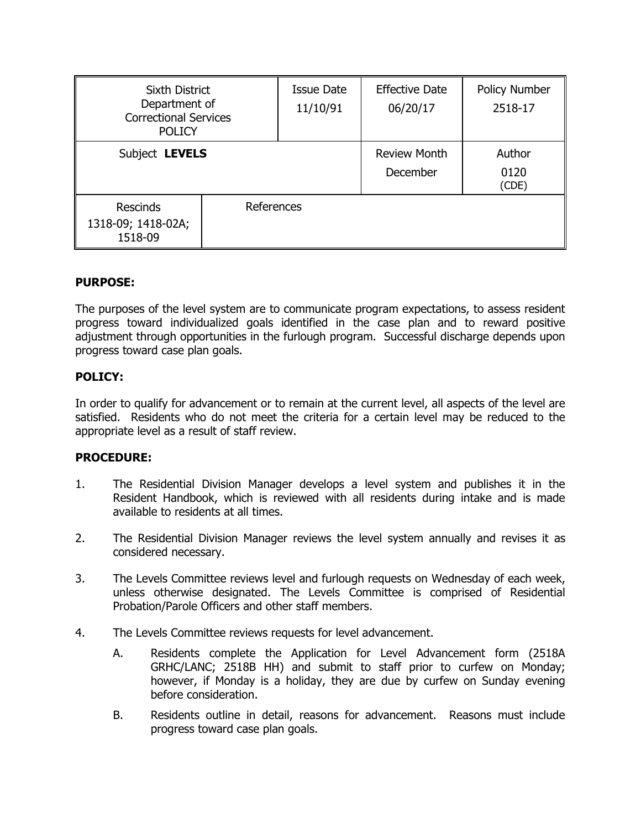| <b>Sixth District</b><br>Department of<br><b>Correctional Services</b><br><b>POLICY</b> |            | <b>Issue Date</b><br>11/10/91 | <b>Effective Date</b><br>06/20/17 | Policy Number<br>2518-17 |
|-----------------------------------------------------------------------------------------|------------|-------------------------------|-----------------------------------|--------------------------|
| Subject LEVELS                                                                          |            |                               | <b>Review Month</b><br>December   | Author<br>0120<br>(CDE)  |
| <b>Rescinds</b><br>1318-09; 1418-02A;<br>1518-09                                        | References |                               |                                   |                          |

# **PURPOSE:**

The purposes of the level system are to communicate program expectations, to assess resident progress toward individualized goals identified in the case plan and to reward positive adjustment through opportunities in the furlough program. Successful discharge depends upon progress toward case plan goals.

# **POLICY:**

In order to qualify for advancement or to remain at the current level, all aspects of the level are satisfied. Residents who do not meet the criteria for a certain level may be reduced to the appropriate level as a result of staff review.

### **PROCEDURE:**

- 1. The Residential Division Manager develops a level system and publishes it in the Resident Handbook, which is reviewed with all residents during intake and is made available to residents at all times.
- 2. The Residential Division Manager reviews the level system annually and revises it as considered necessary.
- 3. The Levels Committee reviews level and furlough requests on Wednesday of each week, unless otherwise designated. The Levels Committee is comprised of Residential Probation/Parole Officers and other staff members.
- 4. The Levels Committee reviews requests for level advancement.
	- A. Residents complete the Application for Level Advancement form (2518A GRHC/LANC; 2518B HH) and submit to staff prior to curfew on Monday; however, if Monday is a holiday, they are due by curfew on Sunday evening before consideration.
	- B. Residents outline in detail, reasons for advancement. Reasons must include progress toward case plan goals.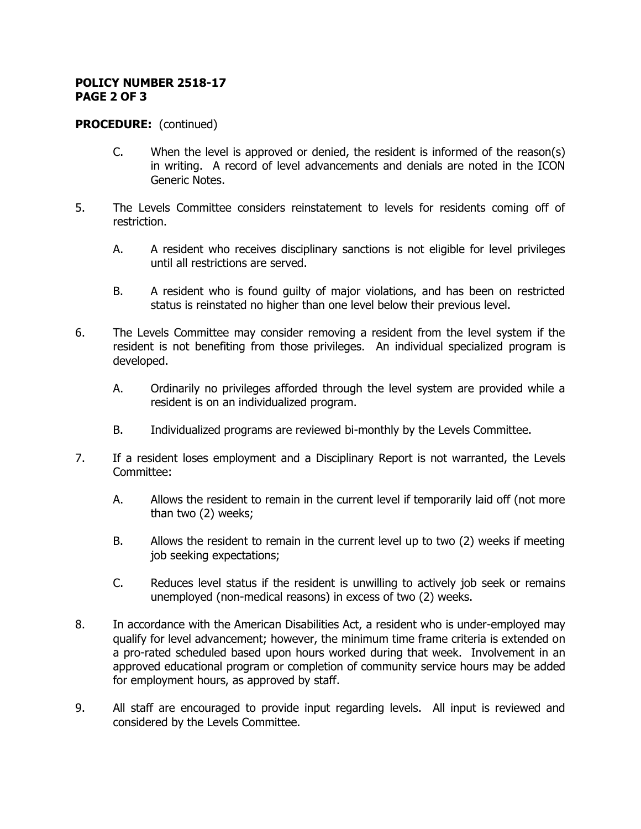#### **POLICY NUMBER 2518-17 PAGE 2 OF 3**

### **PROCEDURE:** (continued)

- C. When the level is approved or denied, the resident is informed of the reason(s) in writing. A record of level advancements and denials are noted in the ICON Generic Notes.
- 5. The Levels Committee considers reinstatement to levels for residents coming off of restriction.
	- A. A resident who receives disciplinary sanctions is not eligible for level privileges until all restrictions are served.
	- B. A resident who is found guilty of major violations, and has been on restricted status is reinstated no higher than one level below their previous level.
- 6. The Levels Committee may consider removing a resident from the level system if the resident is not benefiting from those privileges. An individual specialized program is developed.
	- A. Ordinarily no privileges afforded through the level system are provided while a resident is on an individualized program.
	- B. Individualized programs are reviewed bi-monthly by the Levels Committee.
- 7. If a resident loses employment and a Disciplinary Report is not warranted, the Levels Committee:
	- A. Allows the resident to remain in the current level if temporarily laid off (not more than two (2) weeks;
	- B. Allows the resident to remain in the current level up to two (2) weeks if meeting job seeking expectations;
	- C. Reduces level status if the resident is unwilling to actively job seek or remains unemployed (non-medical reasons) in excess of two (2) weeks.
- 8. In accordance with the American Disabilities Act, a resident who is under-employed may qualify for level advancement; however, the minimum time frame criteria is extended on a pro-rated scheduled based upon hours worked during that week. Involvement in an approved educational program or completion of community service hours may be added for employment hours, as approved by staff.
- 9. All staff are encouraged to provide input regarding levels. All input is reviewed and considered by the Levels Committee.